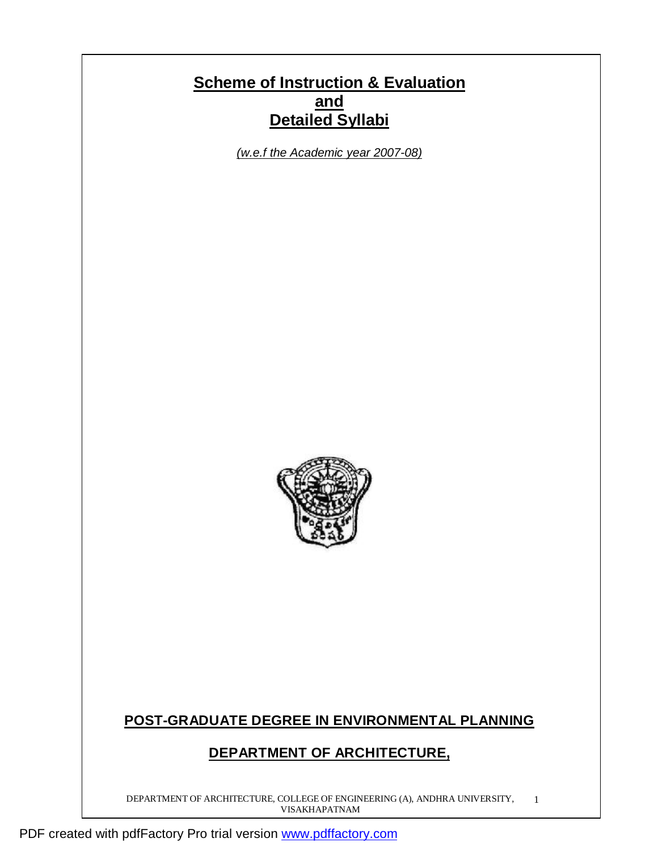# **Scheme of Instruction & Evaluation and Detailed Syllabi**

*(w.e.f the Academic year 2007-08)*



# **POST-GRADUATE DEGREE IN ENVIRONMENTAL PLANNING**

# **DEPARTMENT OF ARCHITECTURE,**

DEPARTMENT OF ARCHITECTURE, COLLEGE OF ENGINEERING (A), ANDHRA UNIVERSITY, VISAKHAPATNAM 1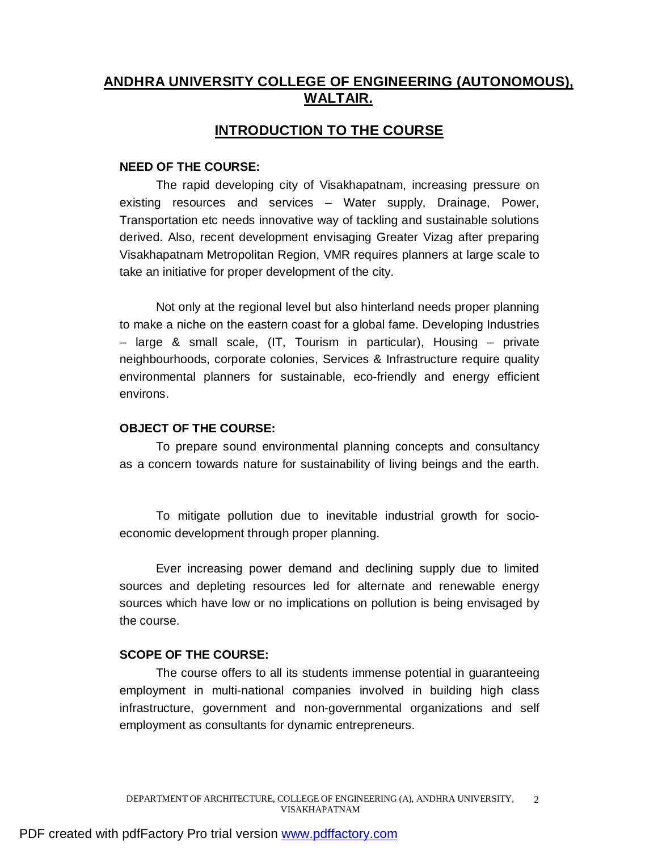# **ANDHRA UNIVERSITY COLLEGE OF ENGINEERING (AUTONOMOUS), WALTAIR.**

# **INTRODUCTION TO THE COURSE**

## **NEED OF THE COURSE:**

The rapid developing city of Visakhapatnam, increasing pressure on existing resources and services – Water supply, Drainage, Power, Transportation etc needs innovative way of tackling and sustainable solutions derived. Also, recent development envisaging Greater Vizag after preparing Visakhapatnam Metropolitan Region, VMR requires planners at large scale to take an initiative for proper development of the city.

Not only at the regional level but also hinterland needs proper planning to make a niche on the eastern coast for a global fame. Developing Industries – large & small scale, (IT, Tourism in particular), Housing – private neighbourhoods, corporate colonies, Services & Infrastructure require quality environmental planners for sustainable, eco-friendly and energy efficient environs.

## **OBJECT OF THE COURSE:**

To prepare sound environmental planning concepts and consultancy as a concern towards nature for sustainability of living beings and the earth.

To mitigate pollution due to inevitable industrial growth for socioeconomic development through proper planning.

Ever increasing power demand and declining supply due to limited sources and depleting resources led for alternate and renewable energy sources which have low or no implications on pollution is being envisaged by the course.

## **SCOPE OF THE COURSE:**

The course offers to all its students immense potential in guaranteeing employment in multi-national companies involved in building high class infrastructure, government and non-governmental organizations and self employment as consultants for dynamic entrepreneurs.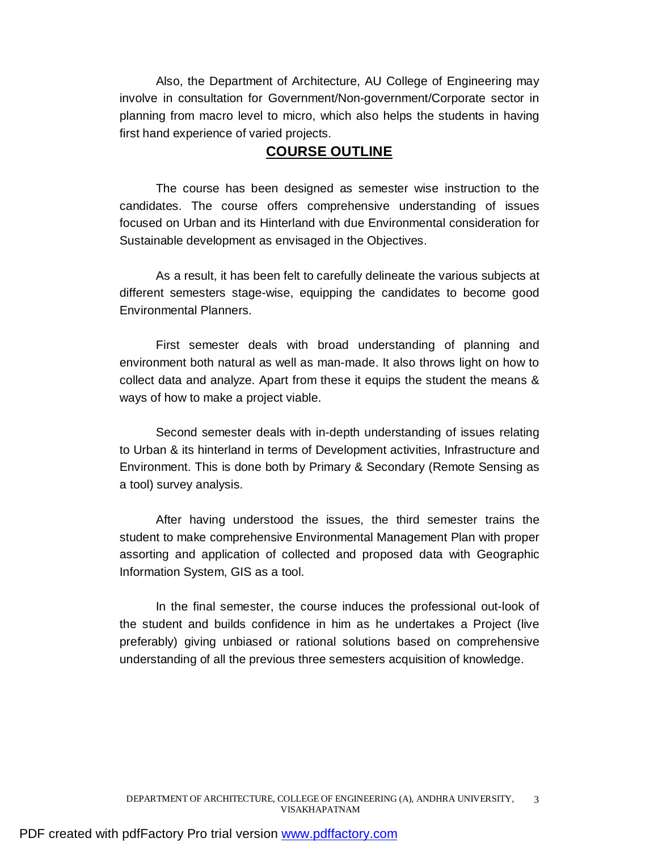Also, the Department of Architecture, AU College of Engineering may involve in consultation for Government/Non-government/Corporate sector in planning from macro level to micro, which also helps the students in having first hand experience of varied projects.

# **COURSE OUTLINE**

The course has been designed as semester wise instruction to the candidates. The course offers comprehensive understanding of issues focused on Urban and its Hinterland with due Environmental consideration for Sustainable development as envisaged in the Objectives.

As a result, it has been felt to carefully delineate the various subjects at different semesters stage-wise, equipping the candidates to become good Environmental Planners.

First semester deals with broad understanding of planning and environment both natural as well as man-made. It also throws light on how to collect data and analyze. Apart from these it equips the student the means & ways of how to make a project viable.

Second semester deals with in-depth understanding of issues relating to Urban & its hinterland in terms of Development activities, Infrastructure and Environment. This is done both by Primary & Secondary (Remote Sensing as a tool) survey analysis.

After having understood the issues, the third semester trains the student to make comprehensive Environmental Management Plan with proper assorting and application of collected and proposed data with Geographic Information System, GIS as a tool.

In the final semester, the course induces the professional out-look of the student and builds confidence in him as he undertakes a Project (live preferably) giving unbiased or rational solutions based on comprehensive understanding of all the previous three semesters acquisition of knowledge.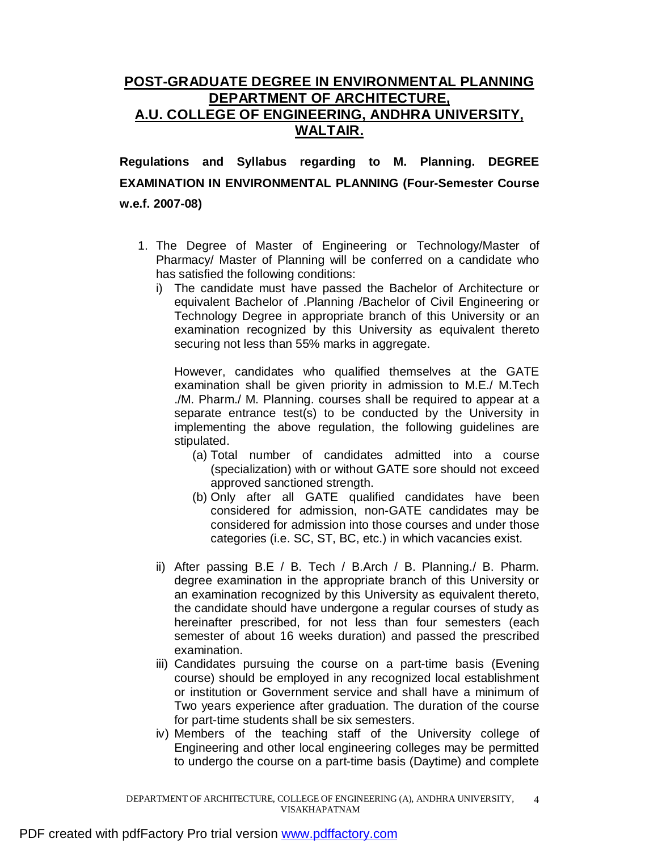# **POST-GRADUATE DEGREE IN ENVIRONMENTAL PLANNING DEPARTMENT OF ARCHITECTURE, A.U. COLLEGE OF ENGINEERING, ANDHRA UNIVERSITY, WALTAIR.**

**Regulations and Syllabus regarding to M. Planning. DEGREE EXAMINATION IN ENVIRONMENTAL PLANNING (Four-Semester Course w.e.f. 2007-08)** 

- 1. The Degree of Master of Engineering or Technology/Master of Pharmacy/ Master of Planning will be conferred on a candidate who has satisfied the following conditions:
	- i) The candidate must have passed the Bachelor of Architecture or equivalent Bachelor of .Planning /Bachelor of Civil Engineering or Technology Degree in appropriate branch of this University or an examination recognized by this University as equivalent thereto securing not less than 55% marks in aggregate.

However, candidates who qualified themselves at the GATE examination shall be given priority in admission to M.E./ M.Tech ./M. Pharm./ M. Planning. courses shall be required to appear at a separate entrance test(s) to be conducted by the University in implementing the above regulation, the following guidelines are stipulated.

- (a) Total number of candidates admitted into a course (specialization) with or without GATE sore should not exceed approved sanctioned strength.
- (b) Only after all GATE qualified candidates have been considered for admission, non-GATE candidates may be considered for admission into those courses and under those categories (i.e. SC, ST, BC, etc.) in which vacancies exist.
- ii) After passing B.E / B. Tech / B.Arch / B. Planning./ B. Pharm. degree examination in the appropriate branch of this University or an examination recognized by this University as equivalent thereto, the candidate should have undergone a regular courses of study as hereinafter prescribed, for not less than four semesters (each semester of about 16 weeks duration) and passed the prescribed examination.
- iii) Candidates pursuing the course on a part-time basis (Evening course) should be employed in any recognized local establishment or institution or Government service and shall have a minimum of Two years experience after graduation. The duration of the course for part-time students shall be six semesters.
- iv) Members of the teaching staff of the University college of Engineering and other local engineering colleges may be permitted to undergo the course on a part-time basis (Daytime) and complete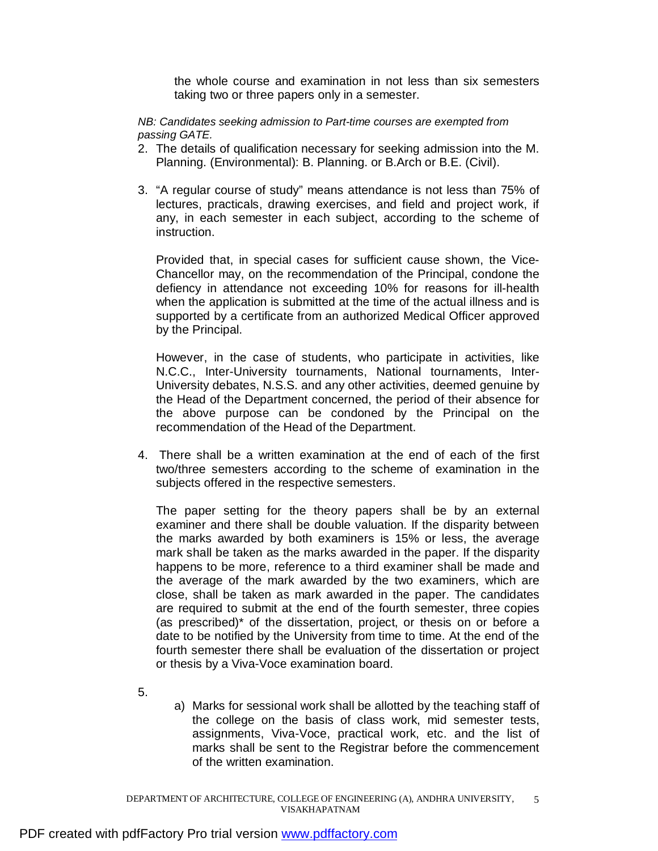the whole course and examination in not less than six semesters taking two or three papers only in a semester.

*NB: Candidates seeking admission to Part-time courses are exempted from passing GATE.* 

- 2. The details of qualification necessary for seeking admission into the M. Planning. (Environmental): B. Planning. or B.Arch or B.E. (Civil).
- 3. "A regular course of study" means attendance is not less than 75% of lectures, practicals, drawing exercises, and field and project work, if any, in each semester in each subject, according to the scheme of instruction.

Provided that, in special cases for sufficient cause shown, the Vice-Chancellor may, on the recommendation of the Principal, condone the defiency in attendance not exceeding 10% for reasons for ill-health when the application is submitted at the time of the actual illness and is supported by a certificate from an authorized Medical Officer approved by the Principal.

However, in the case of students, who participate in activities, like N.C.C., Inter-University tournaments, National tournaments, Inter-University debates, N.S.S. and any other activities, deemed genuine by the Head of the Department concerned, the period of their absence for the above purpose can be condoned by the Principal on the recommendation of the Head of the Department.

4. There shall be a written examination at the end of each of the first two/three semesters according to the scheme of examination in the subjects offered in the respective semesters.

The paper setting for the theory papers shall be by an external examiner and there shall be double valuation. If the disparity between the marks awarded by both examiners is 15% or less, the average mark shall be taken as the marks awarded in the paper. If the disparity happens to be more, reference to a third examiner shall be made and the average of the mark awarded by the two examiners, which are close, shall be taken as mark awarded in the paper. The candidates are required to submit at the end of the fourth semester, three copies (as prescribed)\* of the dissertation, project, or thesis on or before a date to be notified by the University from time to time. At the end of the fourth semester there shall be evaluation of the dissertation or project or thesis by a Viva-Voce examination board.

- 5.
- a) Marks for sessional work shall be allotted by the teaching staff of the college on the basis of class work, mid semester tests, assignments, Viva-Voce, practical work, etc. and the list of marks shall be sent to the Registrar before the commencement of the written examination.

DEPARTMENT OF ARCHITECTURE, COLLEGE OF ENGINEERING (A), ANDHRA UNIVERSITY, VISAKHAPATNAM 5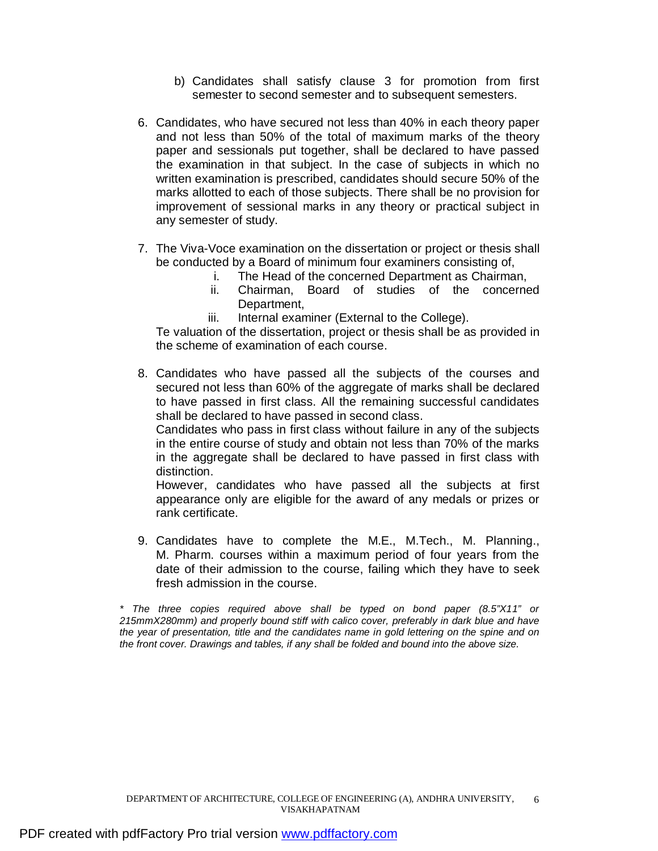- b) Candidates shall satisfy clause 3 for promotion from first semester to second semester and to subsequent semesters.
- 6. Candidates, who have secured not less than 40% in each theory paper and not less than 50% of the total of maximum marks of the theory paper and sessionals put together, shall be declared to have passed the examination in that subject. In the case of subjects in which no written examination is prescribed, candidates should secure 50% of the marks allotted to each of those subjects. There shall be no provision for improvement of sessional marks in any theory or practical subject in any semester of study.
- 7. The Viva-Voce examination on the dissertation or project or thesis shall be conducted by a Board of minimum four examiners consisting of,
	- i. The Head of the concerned Department as Chairman,
	- ii. Chairman, Board of studies of the concerned Department,
	- iii. Internal examiner (External to the College).

Te valuation of the dissertation, project or thesis shall be as provided in the scheme of examination of each course.

8. Candidates who have passed all the subjects of the courses and secured not less than 60% of the aggregate of marks shall be declared to have passed in first class. All the remaining successful candidates shall be declared to have passed in second class.

Candidates who pass in first class without failure in any of the subjects in the entire course of study and obtain not less than 70% of the marks in the aggregate shall be declared to have passed in first class with distinction.

However, candidates who have passed all the subjects at first appearance only are eligible for the award of any medals or prizes or rank certificate.

9. Candidates have to complete the M.E., M.Tech., M. Planning., M. Pharm. courses within a maximum period of four years from the date of their admission to the course, failing which they have to seek fresh admission in the course.

*\* The three copies required above shall be typed on bond paper (8.5"X11" or 215mmX280mm) and properly bound stiff with calico cover, preferably in dark blue and have the year of presentation, title and the candidates name in gold lettering on the spine and on the front cover. Drawings and tables, if any shall be folded and bound into the above size.*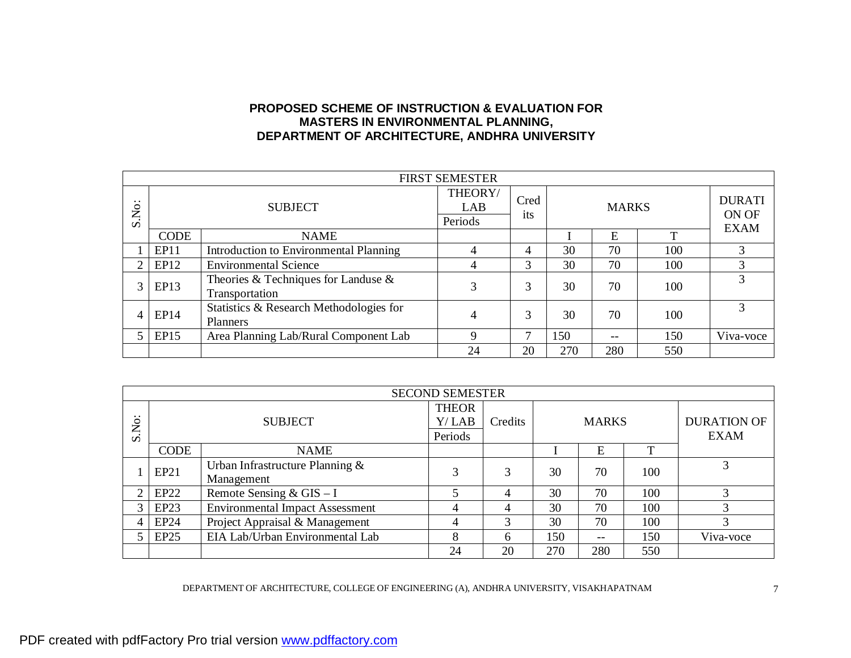## **PROPOSED SCHEME OF INSTRUCTION & EVALUATION FOR MASTERS IN ENVIRONMENTAL PLANNING, DEPARTMENT OF ARCHITECTURE, ANDHRA UNIVERSITY**

| <b>FIRST SEMESTER</b> |                |                                                          |                           |             |              |       |                                       |           |
|-----------------------|----------------|----------------------------------------------------------|---------------------------|-------------|--------------|-------|---------------------------------------|-----------|
| $\cdot\cdot$<br>S.No: | <b>SUBJECT</b> |                                                          | THEORY/<br>LAB<br>Periods | Cred<br>its | <b>MARKS</b> |       | <b>DURATI</b><br>ON OF<br><b>EXAM</b> |           |
|                       | <b>CODE</b>    | <b>NAME</b>                                              |                           |             |              | E     | т                                     |           |
|                       | EP11           | <b>Introduction to Environmental Planning</b>            | 4                         | 4           | 30           | 70    | 100                                   | 3         |
| 2                     | EP12           | <b>Environmental Science</b>                             | 4                         | 3           | 30           | 70    | 100                                   | 3         |
| 3                     | EP13           | Theories & Techniques for Landuse $\&$<br>Transportation | 3                         | 3           | 30           | 70    | 100                                   |           |
| 4                     | EP14           | Statistics & Research Methodologies for<br>Planners      | 4                         | 3           | 30           | 70    | 100                                   |           |
| 5                     | EP15           | Area Planning Lab/Rural Component Lab                    | $\mathbf Q$               |             | 150          | $- -$ | 150                                   | Viva-voce |
|                       |                |                                                          | 24                        | 20          | 270          | 280   | 550                                   |           |

|                     | <b>SECOND SEMESTER</b> |                                        |              |         |     |              |     |                    |
|---------------------|------------------------|----------------------------------------|--------------|---------|-----|--------------|-----|--------------------|
|                     |                        |                                        | <b>THEOR</b> |         |     |              |     |                    |
| $\cdot \cdot$<br>Š. |                        | <b>SUBJECT</b>                         |              | Credits |     | <b>MARKS</b> |     | <b>DURATION OF</b> |
| $\mathcal{L}$       |                        |                                        | Periods      |         |     |              |     | <b>EXAM</b>        |
|                     | <b>CODE</b>            | <b>NAME</b>                            |              |         |     | Е            | m   |                    |
|                     | EP21                   | Urban Infrastructure Planning $\&$     | 3            | 3       | 30  | 70           | 100 | 3                  |
|                     |                        | Management                             |              |         |     |              |     |                    |
| 2                   | EP22                   | Remote Sensing & $GIS - I$             |              | 4       | 30  | 70           | 100 |                    |
| 3                   | EP <sub>23</sub>       | <b>Environmental Impact Assessment</b> | 4            | 4       | 30  | 70           | 100 |                    |
| 4                   | EP24                   | Project Appraisal & Management         | 4            | 3       | 30  | 70           | 100 |                    |
|                     | EP25                   | EIA Lab/Urban Environmental Lab        | 8            | 6       | 150 | $- -$        | 150 | Viva-voce          |
|                     |                        |                                        | 24           | 20      | 270 | 280          | 550 |                    |

DEPARTMENT OF ARCHITECTURE, COLLEGE OF ENGINEERING (A), ANDHRA UNIVERSITY, VISAKHAPATNAM 7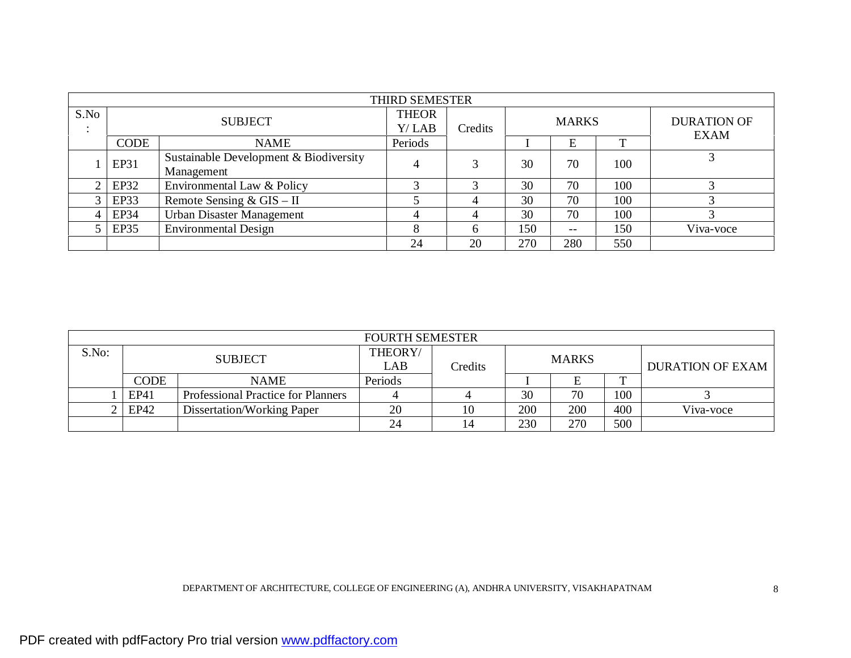|                                | THIRD SEMESTER |                                                      |                          |              |              |       |     |                            |  |
|--------------------------------|----------------|------------------------------------------------------|--------------------------|--------------|--------------|-------|-----|----------------------------|--|
| S.No<br>$\bullet$<br>$\bullet$ | <b>SUBJECT</b> |                                                      | <b>THEOR</b><br>$Y/$ LAB | Credits      | <b>MARKS</b> |       |     | <b>DURATION OF</b><br>EXAM |  |
|                                | <b>CODE</b>    | <b>NAME</b>                                          | Periods                  |              |              | E     |     |                            |  |
|                                | EP31           | Sustainable Development & Biodiversity<br>Management |                          |              | 30           | 70    | 100 |                            |  |
| 2                              | EP32           | Environmental Law & Policy                           | ⌒                        | ◠            | 30           | 70    | 100 |                            |  |
|                                | EP33           | Remote Sensing & $GIS - II$                          |                          | 4            | 30           | 70    | 100 |                            |  |
| 4                              | <b>EP34</b>    | <b>Urban Disaster Management</b>                     | 4                        | 4            | 30           | 70    | 100 |                            |  |
|                                | <b>EP35</b>    | <b>Environmental Design</b>                          | O<br>Ω                   | <sub>t</sub> | 150          | $- -$ | 150 | Viva-voce                  |  |
|                                |                |                                                      | 24                       | 20           | 270          | 280   | 550 |                            |  |

| <b>FOURTH SEMESTER</b> |             |                                           |                |         |              |     |     |                         |
|------------------------|-------------|-------------------------------------------|----------------|---------|--------------|-----|-----|-------------------------|
| S.No:                  |             | <b>SUBJECT</b>                            | THEORY/<br>LAB | Credits | <b>MARKS</b> |     |     | <b>DURATION OF EXAM</b> |
|                        | <b>CODE</b> | <b>NAME</b>                               | Periods        |         |              |     | m   |                         |
|                        | EP41        | <b>Professional Practice for Planners</b> |                |         | 30           | 70  | 100 |                         |
|                        | EP42        | Dissertation/Working Paper                | 20             | 10      | 200          | 200 | 400 | Viva-voce               |
|                        |             |                                           | 24             | 14      | 230          | 270 | 500 |                         |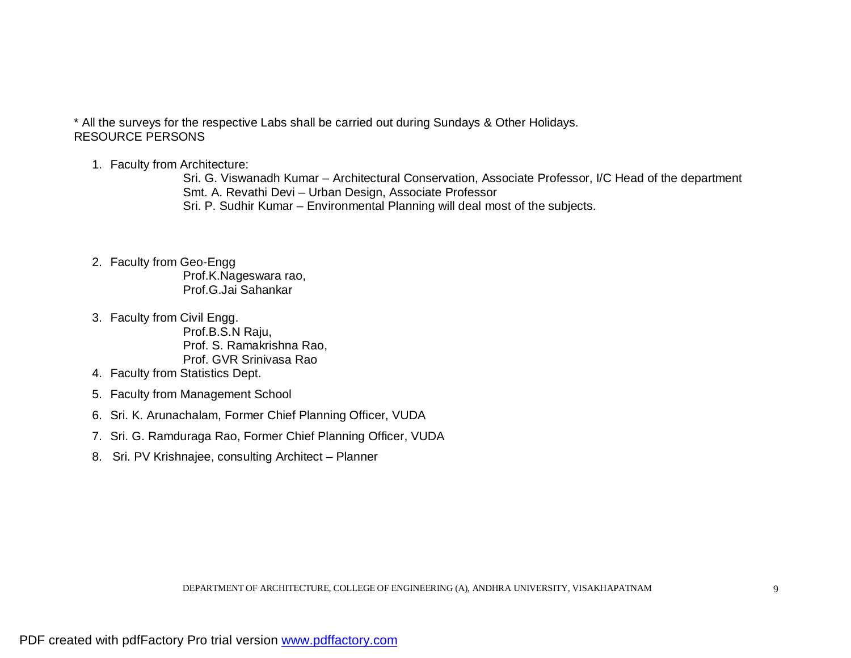\* All the surveys for the respective Labs shall be carried out during Sundays & Other Holidays. RESOURCE PERSONS

1. Faculty from Architecture:

Sri. G. Viswanadh Kumar – Architectural Conservation, Associate Professor, I/C Head of the department Smt. A. Revathi Devi – Urban Design, Associate Professor Sri. P. Sudhir Kumar – Environmental Planning will deal most of the subjects.

2. Faculty from Geo-Engg

Prof.K.Nageswara rao, Prof.G.Jai Sahankar

3. Faculty from Civil Engg.

Prof.B.S.N Raju, Prof. S. Ramakrishna Rao, Prof. GVR Srinivasa Rao

- 4. Faculty from Statistics Dept.
- 5. Faculty from Management School
- 6. Sri. K. Arunachalam, Former Chief Planning Officer, VUDA
- 7. Sri. G. Ramduraga Rao, Former Chief Planning Officer, VUDA
- 8. Sri. PV Krishnajee, consulting Architect Planner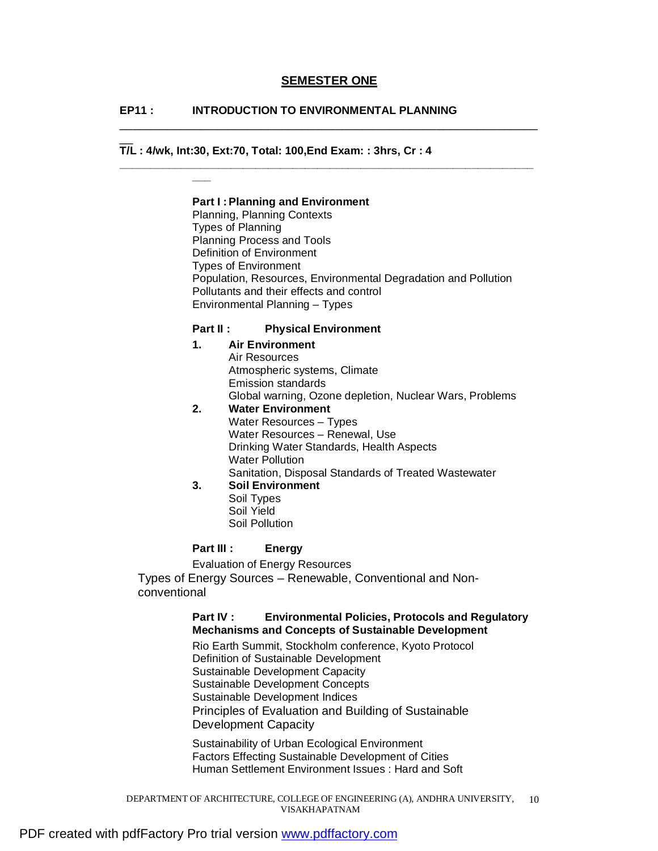#### **SEMESTER ONE**

\_\_\_\_\_\_\_\_\_\_\_\_\_\_\_\_\_\_\_\_\_\_\_\_\_\_\_\_\_\_\_\_\_\_\_\_\_\_\_\_\_\_\_\_\_\_\_\_\_\_\_\_\_\_\_\_\_\_\_\_\_\_

**\_\_\_\_\_\_\_\_\_\_\_\_\_\_\_\_\_\_\_\_\_\_\_\_\_\_\_\_\_\_\_\_\_\_\_\_\_\_\_\_\_\_\_\_\_\_\_\_\_\_\_\_\_\_\_\_\_\_\_\_\_\_\_\_\_\_\_**

## **EP11 : INTRODUCTION TO ENVIRONMENTAL PLANNING**

## **T/L : 4/wk, Int:30, Ext:70, Total: 100,End Exam: : 3hrs, Cr : 4**

**\_\_\_** 

 $\overline{\phantom{a}}$ 

#### **Part I :Planning and Environment**

 Planning, Planning Contexts Types of Planning Planning Process and Tools Definition of Environment Types of Environment Population, Resources, Environmental Degradation and Pollution Pollutants and their effects and control Environmental Planning – Types

#### **Part II : Physical Environment**

## **1. Air Environment**  Air Resources Atmospheric systems, Climate Emission standards Global warning, Ozone depletion, Nuclear Wars, Problems

## **2. Water Environment**  Water Resources – Types Water Resources – Renewal, Use Drinking Water Standards, Health Aspects Water Pollution Sanitation, Disposal Standards of Treated Wastewater

## **3. Soil Environment**

Soil Types Soil Yield Soil Pollution

#### **Part III : Energy**

Evaluation of Energy Resources

Types of Energy Sources – Renewable, Conventional and Nonconventional

#### **Part IV : Environmental Policies, Protocols and Regulatory Mechanisms and Concepts of Sustainable Development**

 Rio Earth Summit, Stockholm conference, Kyoto Protocol Definition of Sustainable Development Sustainable Development Capacity Sustainable Development Concepts Sustainable Development Indices Principles of Evaluation and Building of Sustainable Development Capacity

 Sustainability of Urban Ecological Environment Factors Effecting Sustainable Development of Cities Human Settlement Environment Issues : Hard and Soft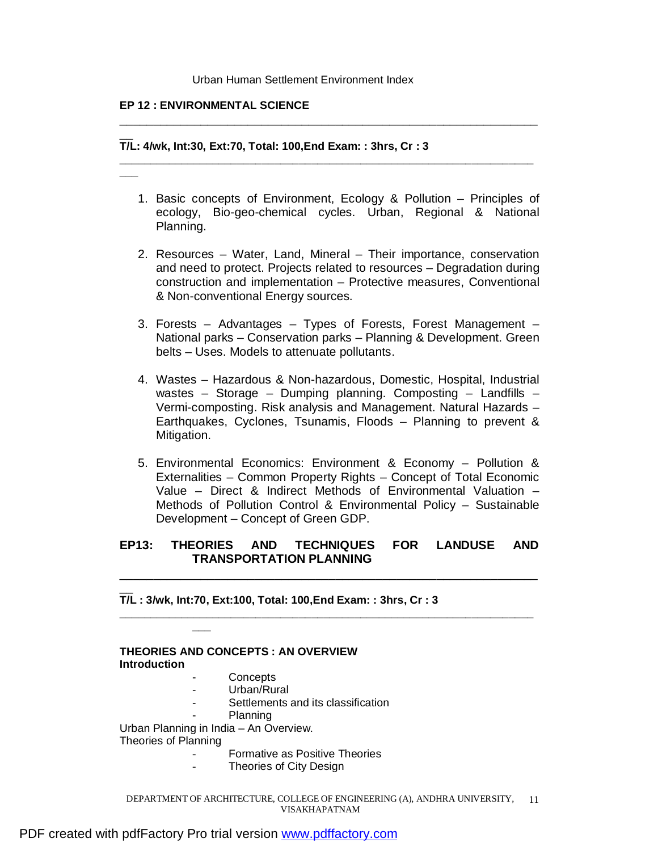#### Urban Human Settlement Environment Index

#### **EP 12 : ENVIRONMENTAL SCIENCE**

**\_\_\_**

#### $\overline{\phantom{a}}$ **T/L: 4/wk, Int:30, Ext:70, Total: 100,End Exam: : 3hrs, Cr : 3**

1. Basic concepts of Environment, Ecology & Pollution – Principles of ecology, Bio-geo-chemical cycles. Urban, Regional & National Planning.

\_\_\_\_\_\_\_\_\_\_\_\_\_\_\_\_\_\_\_\_\_\_\_\_\_\_\_\_\_\_\_\_\_\_\_\_\_\_\_\_\_\_\_\_\_\_\_\_\_\_\_\_\_\_\_\_\_\_\_\_\_\_

**\_\_\_\_\_\_\_\_\_\_\_\_\_\_\_\_\_\_\_\_\_\_\_\_\_\_\_\_\_\_\_\_\_\_\_\_\_\_\_\_\_\_\_\_\_\_\_\_\_\_\_\_\_\_\_\_\_\_\_\_\_\_\_\_\_\_\_**

- 2. Resources Water, Land, Mineral Their importance, conservation and need to protect. Projects related to resources – Degradation during construction and implementation – Protective measures, Conventional & Non-conventional Energy sources.
- 3. Forests Advantages Types of Forests, Forest Management National parks – Conservation parks – Planning & Development. Green belts – Uses. Models to attenuate pollutants.
- 4. Wastes Hazardous & Non-hazardous, Domestic, Hospital, Industrial wastes – Storage – Dumping planning. Composting – Landfills – Vermi-composting. Risk analysis and Management. Natural Hazards – Earthquakes, Cyclones, Tsunamis, Floods – Planning to prevent & Mitigation.
- 5. Environmental Economics: Environment & Economy Pollution & Externalities – Common Property Rights – Concept of Total Economic Value – Direct & Indirect Methods of Environmental Valuation – Methods of Pollution Control & Environmental Policy – Sustainable Development – Concept of Green GDP.

## **EP13: THEORIES AND TECHNIQUES FOR LANDUSE AND TRANSPORTATION PLANNING**

\_\_\_\_\_\_\_\_\_\_\_\_\_\_\_\_\_\_\_\_\_\_\_\_\_\_\_\_\_\_\_\_\_\_\_\_\_\_\_\_\_\_\_\_\_\_\_\_\_\_\_\_\_\_\_\_\_\_\_\_\_\_

**\_\_\_\_\_\_\_\_\_\_\_\_\_\_\_\_\_\_\_\_\_\_\_\_\_\_\_\_\_\_\_\_\_\_\_\_\_\_\_\_\_\_\_\_\_\_\_\_\_\_\_\_\_\_\_\_\_\_\_\_\_\_\_\_\_\_\_**

 $\overline{\phantom{a}}$ **T/L : 3/wk, Int:70, Ext:100, Total: 100,End Exam: : 3hrs, Cr : 3** 

| <b>THEORIES AND CONCEPTS : AN OVERVIEW</b><br><b>Introduction</b> |                                    |  |  |  |  |  |
|-------------------------------------------------------------------|------------------------------------|--|--|--|--|--|
|                                                                   | Concepts                           |  |  |  |  |  |
|                                                                   | Urban/Rural                        |  |  |  |  |  |
|                                                                   | Settlements and its classification |  |  |  |  |  |
|                                                                   | Planning                           |  |  |  |  |  |
| Urban Planning in India - An Overview.                            |                                    |  |  |  |  |  |
| Theories of Planning                                              |                                    |  |  |  |  |  |
|                                                                   | Formative as Positive Theories     |  |  |  |  |  |
|                                                                   | Theories of City Design            |  |  |  |  |  |
|                                                                   |                                    |  |  |  |  |  |

DEPARTMENT OF ARCHITECTURE, COLLEGE OF ENGINEERING (A), ANDHRA UNIVERSITY, 11 VISAKHAPATNAM

**\_\_\_**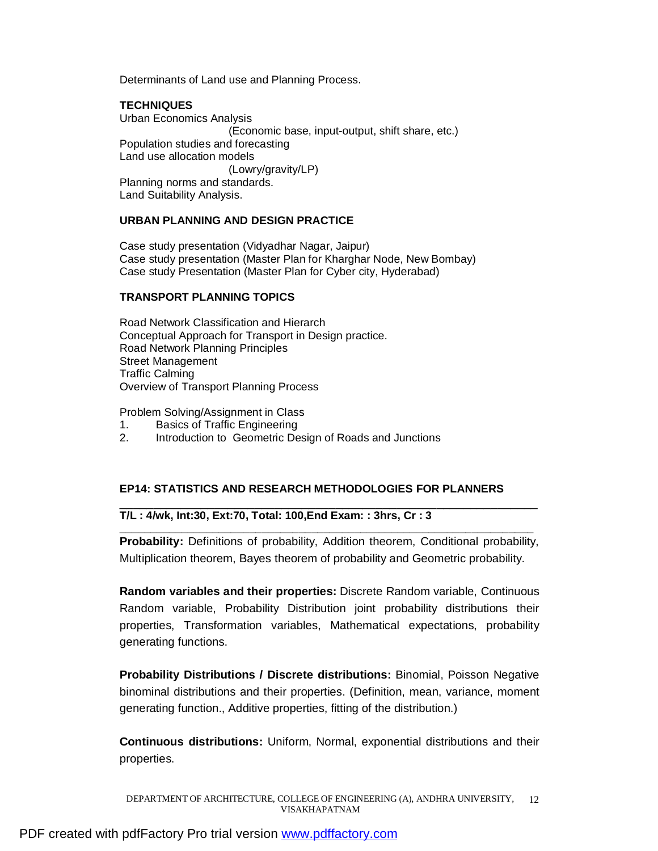Determinants of Land use and Planning Process.

## **TECHNIQUES**

Urban Economics Analysis (Economic base, input-output, shift share, etc.) Population studies and forecasting Land use allocation models (Lowry/gravity/LP) Planning norms and standards. Land Suitability Analysis.

#### **URBAN PLANNING AND DESIGN PRACTICE**

Case study presentation (Vidyadhar Nagar, Jaipur) Case study presentation (Master Plan for Kharghar Node, New Bombay) Case study Presentation (Master Plan for Cyber city, Hyderabad)

## **TRANSPORT PLANNING TOPICS**

Road Network Classification and Hierarch Conceptual Approach for Transport in Design practice. Road Network Planning Principles Street Management Traffic Calming Overview of Transport Planning Process

Problem Solving/Assignment in Class

- 1. Basics of Traffic Engineering
- 2. Introduction to Geometric Design of Roads and Junctions

#### **EP14: STATISTICS AND RESEARCH METHODOLOGIES FOR PLANNERS**

#### \_\_\_\_\_\_\_\_\_\_\_\_\_\_\_\_\_\_\_\_\_\_\_\_\_\_\_\_\_\_\_\_\_\_\_\_\_\_\_\_\_\_\_\_\_\_\_\_\_\_\_\_\_\_\_\_\_\_\_\_\_\_ **T/L : 4/wk, Int:30, Ext:70, Total: 100,End Exam: : 3hrs, Cr : 3**

**Probability:** Definitions of probability, Addition theorem, Conditional probability, Multiplication theorem, Bayes theorem of probability and Geometric probability.

**\_\_\_\_\_\_\_\_\_\_\_\_\_\_\_\_\_\_\_\_\_\_\_\_\_\_\_\_\_\_\_\_\_\_\_\_\_\_\_\_\_\_\_\_\_\_\_\_\_\_\_\_\_\_\_\_\_\_\_\_\_\_\_\_\_\_\_**

**Random variables and their properties:** Discrete Random variable, Continuous Random variable, Probability Distribution joint probability distributions their properties, Transformation variables, Mathematical expectations, probability generating functions.

**Probability Distributions / Discrete distributions:** Binomial, Poisson Negative binominal distributions and their properties. (Definition, mean, variance, moment generating function., Additive properties, fitting of the distribution.)

**Continuous distributions:** Uniform, Normal, exponential distributions and their properties.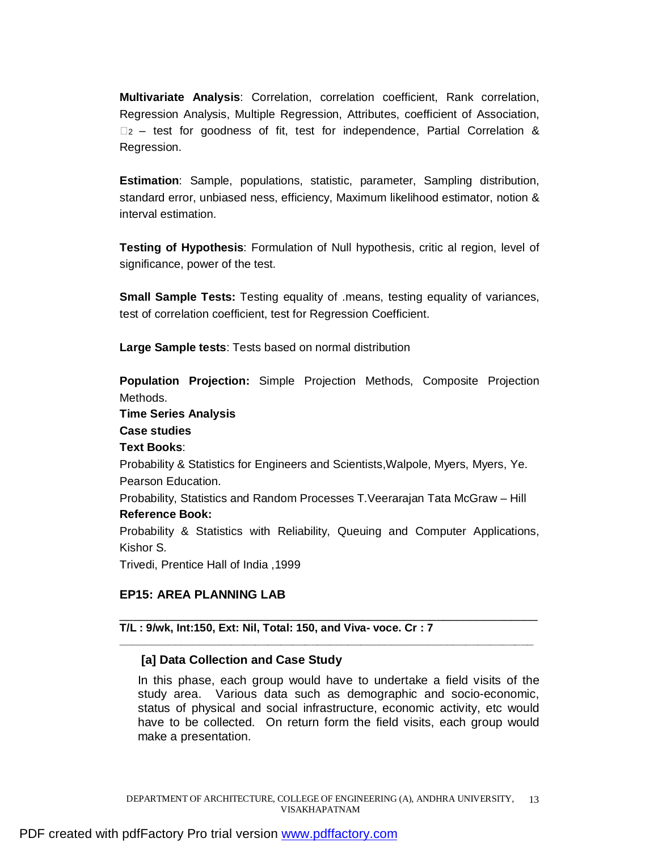**Multivariate Analysis**: Correlation, correlation coefficient, Rank correlation, Regression Analysis, Multiple Regression, Attributes, coefficient of Association,  $\Box$ <sub>2</sub> – test for goodness of fit, test for independence, Partial Correlation & Regression.

**Estimation**: Sample, populations, statistic, parameter, Sampling distribution, standard error, unbiased ness, efficiency, Maximum likelihood estimator, notion & interval estimation.

**Testing of Hypothesis**: Formulation of Null hypothesis, critic al region, level of significance, power of the test.

**Small Sample Tests:** Testing equality of .means, testing equality of variances, test of correlation coefficient, test for Regression Coefficient.

**Large Sample tests**: Tests based on normal distribution

**Population Projection:** Simple Projection Methods, Composite Projection Methods.

## **Time Series Analysis**

## **Case studies**

## **Text Books**:

Probability & Statistics for Engineers and Scientists,Walpole, Myers, Myers, Ye. Pearson Education.

Probability, Statistics and Random Processes T.Veerarajan Tata McGraw – Hill **Reference Book:** 

Probability & Statistics with Reliability, Queuing and Computer Applications, Kishor S.

\_\_\_\_\_\_\_\_\_\_\_\_\_\_\_\_\_\_\_\_\_\_\_\_\_\_\_\_\_\_\_\_\_\_\_\_\_\_\_\_\_\_\_\_\_\_\_\_\_\_\_\_\_\_\_\_\_\_\_\_\_\_

**\_\_\_\_\_\_\_\_\_\_\_\_\_\_\_\_\_\_\_\_\_\_\_\_\_\_\_\_\_\_\_\_\_\_\_\_\_\_\_\_\_\_\_\_\_\_\_\_\_\_\_\_\_\_\_\_\_\_\_\_\_\_\_\_\_\_\_**

Trivedi, Prentice Hall of India ,1999

# **EP15: AREA PLANNING LAB**

## **T/L : 9/wk, Int:150, Ext: Nil, Total: 150, and Viva- voce. Cr : 7**

## **[a] Data Collection and Case Study**

In this phase, each group would have to undertake a field visits of the study area. Various data such as demographic and socio-economic, status of physical and social infrastructure, economic activity, etc would have to be collected. On return form the field visits, each group would make a presentation.

DEPARTMENT OF ARCHITECTURE, COLLEGE OF ENGINEERING (A), ANDHRA UNIVERSITY, 13 VISAKHAPATNAM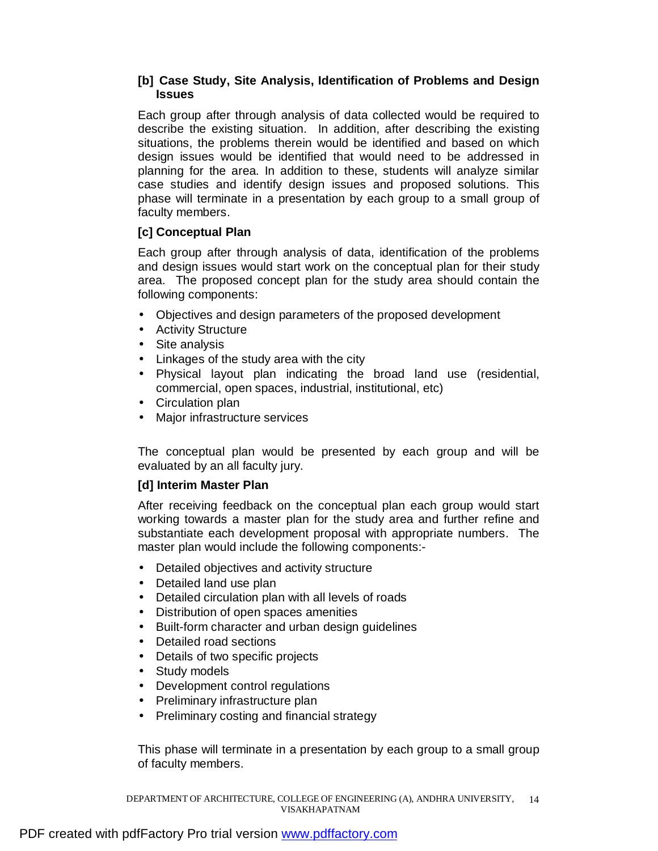## **[b] Case Study, Site Analysis, Identification of Problems and Design Issues**

Each group after through analysis of data collected would be required to describe the existing situation. In addition, after describing the existing situations, the problems therein would be identified and based on which design issues would be identified that would need to be addressed in planning for the area. In addition to these, students will analyze similar case studies and identify design issues and proposed solutions. This phase will terminate in a presentation by each group to a small group of faculty members.

# **[c] Conceptual Plan**

Each group after through analysis of data, identification of the problems and design issues would start work on the conceptual plan for their study area. The proposed concept plan for the study area should contain the following components:

- Objectives and design parameters of the proposed development
- Activity Structure
- Site analysis
- Linkages of the study area with the city
- Physical layout plan indicating the broad land use (residential, commercial, open spaces, industrial, institutional, etc)
- Circulation plan
- Major infrastructure services

The conceptual plan would be presented by each group and will be evaluated by an all faculty jury.

# **[d] Interim Master Plan**

After receiving feedback on the conceptual plan each group would start working towards a master plan for the study area and further refine and substantiate each development proposal with appropriate numbers. The master plan would include the following components:-

- Detailed objectives and activity structure
- Detailed land use plan
- Detailed circulation plan with all levels of roads
- Distribution of open spaces amenities
- Built-form character and urban design guidelines
- Detailed road sections
- Details of two specific projects
- Study models
- Development control regulations
- Preliminary infrastructure plan
- Preliminary costing and financial strategy

This phase will terminate in a presentation by each group to a small group of faculty members.

DEPARTMENT OF ARCHITECTURE, COLLEGE OF ENGINEERING (A), ANDHRA UNIVERSITY, 14 VISAKHAPATNAM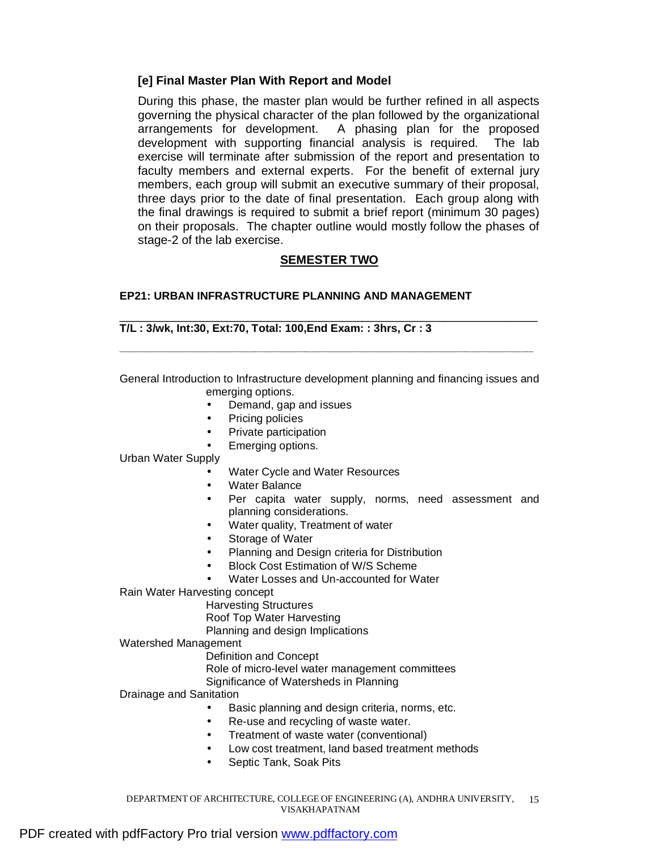## **[e] Final Master Plan With Report and Model**

During this phase, the master plan would be further refined in all aspects governing the physical character of the plan followed by the organizational arrangements for development. A phasing plan for the proposed development with supporting financial analysis is required. The lab exercise will terminate after submission of the report and presentation to faculty members and external experts. For the benefit of external jury members, each group will submit an executive summary of their proposal, three days prior to the date of final presentation. Each group along with the final drawings is required to submit a brief report (minimum 30 pages) on their proposals. The chapter outline would mostly follow the phases of stage-2 of the lab exercise.

# **SEMESTER TWO**

## **EP21: URBAN INFRASTRUCTURE PLANNING AND MANAGEMENT**

#### \_\_\_\_\_\_\_\_\_\_\_\_\_\_\_\_\_\_\_\_\_\_\_\_\_\_\_\_\_\_\_\_\_\_\_\_\_\_\_\_\_\_\_\_\_\_\_\_\_\_\_\_\_\_\_\_\_\_\_\_\_\_ **T/L : 3/wk, Int:30, Ext:70, Total: 100,End Exam: : 3hrs, Cr : 3**

General Introduction to Infrastructure development planning and financing issues and emerging options.

**\_\_\_\_\_\_\_\_\_\_\_\_\_\_\_\_\_\_\_\_\_\_\_\_\_\_\_\_\_\_\_\_\_\_\_\_\_\_\_\_\_\_\_\_\_\_\_\_\_\_\_\_\_\_\_\_\_\_\_\_\_\_\_\_\_\_\_** 

- Demand, gap and issues
- Pricing policies
- Private participation
- Emerging options.

Urban Water Supply

- Water Cycle and Water Resources
- Water Balance
- Per capita water supply, norms, need assessment and planning considerations.
- Water quality, Treatment of water
- Storage of Water
- Planning and Design criteria for Distribution
- Block Cost Estimation of W/S Scheme
- Water Losses and Un-accounted for Water

Rain Water Harvesting concept

Harvesting Structures

Roof Top Water Harvesting

Planning and design Implications

Watershed Management

Definition and Concept

Role of micro-level water management committees

Significance of Watersheds in Planning

Drainage and Sanitation

- Basic planning and design criteria, norms, etc.
- Re-use and recycling of waste water.
- Treatment of waste water (conventional)
- Low cost treatment, land based treatment methods
- Septic Tank, Soak Pits

DEPARTMENT OF ARCHITECTURE, COLLEGE OF ENGINEERING (A), ANDHRA UNIVERSITY, 15 VISAKHAPATNAM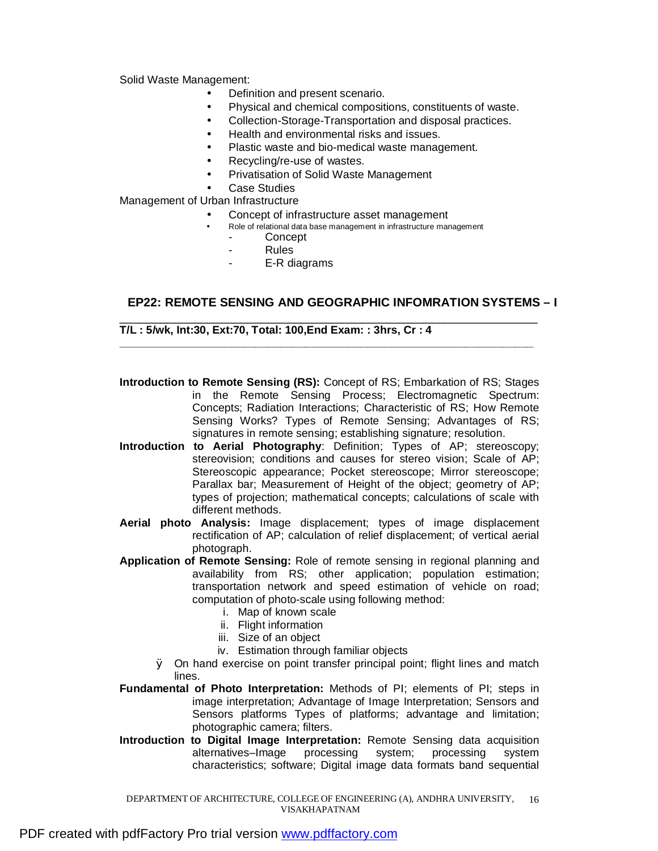Solid Waste Management:

- Definition and present scenario.
- Physical and chemical compositions, constituents of waste.
- Collection-Storage-Transportation and disposal practices.
- Health and environmental risks and issues.
- Plastic waste and bio-medical waste management.
- Recycling/re-use of wastes.
- Privatisation of Solid Waste Management
- Case Studies

Management of Urban Infrastructure

- Concept of infrastructure asset management
	- Role of relational data base management in infrastructure management **Concept** 
		- **Rules**
		- E-R diagrams

## **EP22: REMOTE SENSING AND GEOGRAPHIC INFOMRATION SYSTEMS – I**

\_\_\_\_\_\_\_\_\_\_\_\_\_\_\_\_\_\_\_\_\_\_\_\_\_\_\_\_\_\_\_\_\_\_\_\_\_\_\_\_\_\_\_\_\_\_\_\_\_\_\_\_\_\_\_\_\_\_\_\_\_\_ **T/L : 5/wk, Int:30, Ext:70, Total: 100,End Exam: : 3hrs, Cr : 4** 

**Introduction to Remote Sensing (RS):** Concept of RS; Embarkation of RS; Stages in the Remote Sensing Process; Electromagnetic Spectrum: Concepts; Radiation Interactions; Characteristic of RS; How Remote Sensing Works? Types of Remote Sensing; Advantages of RS; signatures in remote sensing; establishing signature; resolution.

**\_\_\_\_\_\_\_\_\_\_\_\_\_\_\_\_\_\_\_\_\_\_\_\_\_\_\_\_\_\_\_\_\_\_\_\_\_\_\_\_\_\_\_\_\_\_\_\_\_\_\_\_\_\_\_\_\_\_\_\_\_\_\_\_\_\_\_**

- **Introduction to Aerial Photography**: Definition; Types of AP; stereoscopy; stereovision; conditions and causes for stereo vision; Scale of AP; Stereoscopic appearance; Pocket stereoscope; Mirror stereoscope; Parallax bar; Measurement of Height of the object; geometry of AP; types of projection; mathematical concepts; calculations of scale with different methods.
- **Aerial photo Analysis:** Image displacement; types of image displacement rectification of AP; calculation of relief displacement; of vertical aerial photograph.
- **Application of Remote Sensing:** Role of remote sensing in regional planning and availability from RS; other application; population estimation; transportation network and speed estimation of vehicle on road; computation of photo-scale using following method:
	- i. Map of known scale
	- ii. Flight information
	- iii. Size of an object
	- iv. Estimation through familiar objects
	- Ø On hand exercise on point transfer principal point; flight lines and match lines.
- **Fundamental of Photo Interpretation:** Methods of PI; elements of PI; steps in image interpretation; Advantage of Image Interpretation; Sensors and Sensors platforms Types of platforms; advantage and limitation; photographic camera; filters.
- **Introduction to Digital Image Interpretation:** Remote Sensing data acquisition alternatives–Image processing system; processing system characteristics; software; Digital image data formats band sequential

DEPARTMENT OF ARCHITECTURE, COLLEGE OF ENGINEERING (A), ANDHRA UNIVERSITY, 16 VISAKHAPATNAM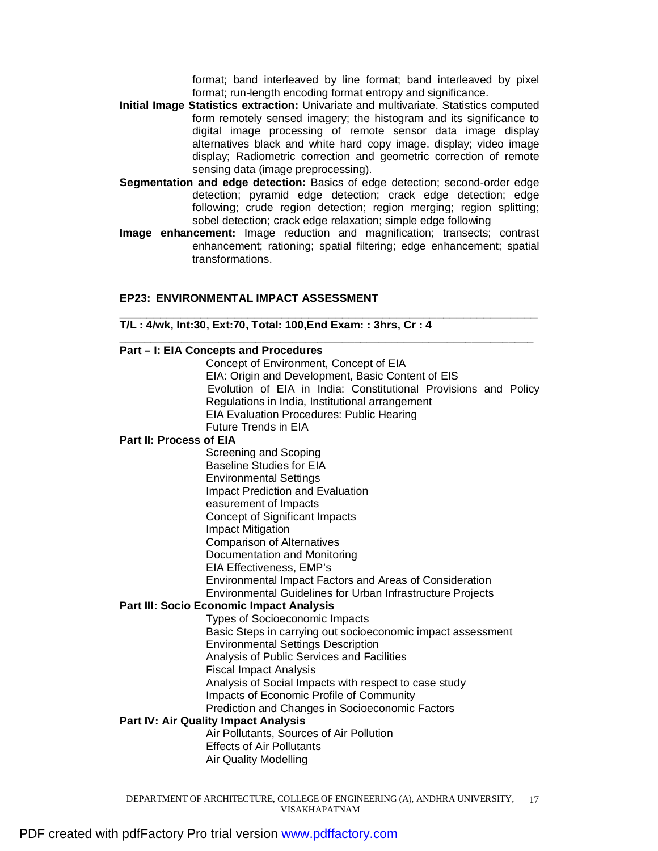format; band interleaved by line format; band interleaved by pixel format; run-length encoding format entropy and significance.

- **Initial Image Statistics extraction:** Univariate and multivariate. Statistics computed form remotely sensed imagery; the histogram and its significance to digital image processing of remote sensor data image display alternatives black and white hard copy image. display; video image display; Radiometric correction and geometric correction of remote sensing data (image preprocessing).
- **Segmentation and edge detection:** Basics of edge detection; second-order edge detection; pyramid edge detection; crack edge detection; edge following; crude region detection; region merging; region splitting; sobel detection; crack edge relaxation; simple edge following
- **Image enhancement:** Image reduction and magnification; transects; contrast enhancement; rationing; spatial filtering; edge enhancement; spatial transformations.

\_\_\_\_\_\_\_\_\_\_\_\_\_\_\_\_\_\_\_\_\_\_\_\_\_\_\_\_\_\_\_\_\_\_\_\_\_\_\_\_\_\_\_\_\_\_\_\_\_\_\_\_\_\_\_\_\_\_\_\_\_\_

#### **EP23: ENVIRONMENTAL IMPACT ASSESSMENT**

#### **T/L : 4/wk, Int:30, Ext:70, Total: 100,End Exam: : 3hrs, Cr : 4**

| Part - I: EIA Concepts and Procedures                           |
|-----------------------------------------------------------------|
| Concept of Environment, Concept of EIA                          |
| EIA: Origin and Development, Basic Content of EIS               |
| Evolution of EIA in India: Constitutional Provisions and Policy |
| Regulations in India, Institutional arrangement                 |
| <b>EIA Evaluation Procedures: Public Hearing</b>                |
| <b>Future Trends in EIA</b>                                     |
| <b>Part II: Process of EIA</b>                                  |
| Screening and Scoping                                           |
| <b>Baseline Studies for EIA</b>                                 |
| <b>Environmental Settings</b>                                   |
|                                                                 |
| <b>Impact Prediction and Evaluation</b>                         |
| easurement of Impacts                                           |
| Concept of Significant Impacts                                  |
| <b>Impact Mitigation</b>                                        |
| <b>Comparison of Alternatives</b>                               |
| Documentation and Monitoring                                    |
| EIA Effectiveness, EMP's                                        |
| Environmental Impact Factors and Areas of Consideration         |
| Environmental Guidelines for Urban Infrastructure Projects      |
| <b>Part III: Socio Economic Impact Analysis</b>                 |
| <b>Types of Socioeconomic Impacts</b>                           |
| Basic Steps in carrying out socioeconomic impact assessment     |
| <b>Environmental Settings Description</b>                       |
| Analysis of Public Services and Facilities                      |
| <b>Fiscal Impact Analysis</b>                                   |
| Analysis of Social Impacts with respect to case study           |
| Impacts of Economic Profile of Community                        |
| Prediction and Changes in Socioeconomic Factors                 |
| <b>Part IV: Air Quality Impact Analysis</b>                     |
| Air Pollutants, Sources of Air Pollution                        |
| <b>Effects of Air Pollutants</b>                                |
|                                                                 |
| <b>Air Quality Modelling</b>                                    |
|                                                                 |

DEPARTMENT OF ARCHITECTURE, COLLEGE OF ENGINEERING (A), ANDHRA UNIVERSITY, 17 VISAKHAPATNAM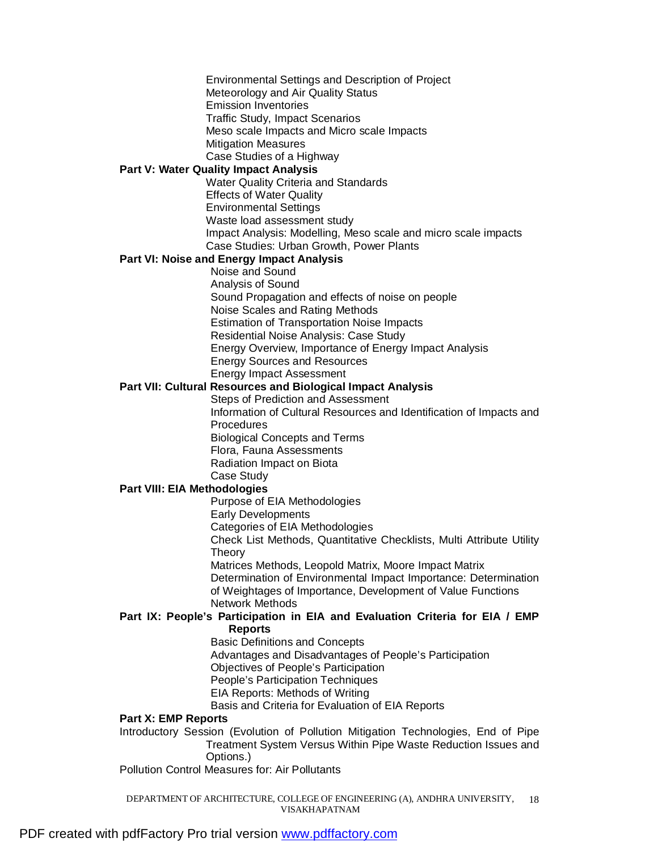Environmental Settings and Description of Project Meteorology and Air Quality Status Emission Inventories Traffic Study, Impact Scenarios Meso scale Impacts and Micro scale Impacts Mitigation Measures Case Studies of a Highway **Part V: Water Quality Impact Analysis**  Water Quality Criteria and Standards Effects of Water Quality Environmental Settings Waste load assessment study Impact Analysis: Modelling, Meso scale and micro scale impacts Case Studies: Urban Growth, Power Plants **Part VI: Noise and Energy Impact Analysis**  Noise and Sound Analysis of Sound Sound Propagation and effects of noise on people Noise Scales and Rating Methods Estimation of Transportation Noise Impacts Residential Noise Analysis: Case Study Energy Overview, Importance of Energy Impact Analysis Energy Sources and Resources Energy Impact Assessment **Part VII: Cultural Resources and Biological Impact Analysis**  Steps of Prediction and Assessment Information of Cultural Resources and Identification of Impacts and **Procedures** Biological Concepts and Terms Flora, Fauna Assessments Radiation Impact on Biota Case Study **Part VIII: EIA Methodologies**  Purpose of EIA Methodologies Early Developments

Categories of EIA Methodologies

Check List Methods, Quantitative Checklists, Multi Attribute Utility Theory

Matrices Methods, Leopold Matrix, Moore Impact Matrix Determination of Environmental Impact Importance: Determination of Weightages of Importance, Development of Value Functions Network Methods

# **Part IX: People's Participation in EIA and Evaluation Criteria for EIA / EMP**

**Reports** 

Basic Definitions and Concepts Advantages and Disadvantages of People's Participation

Objectives of People's Participation

People's Participation Techniques

EIA Reports: Methods of Writing

Basis and Criteria for Evaluation of EIA Reports

## **Part X: EMP Reports**

Introductory Session (Evolution of Pollution Mitigation Technologies, End of Pipe Treatment System Versus Within Pipe Waste Reduction Issues and Options.)

Pollution Control Measures for: Air Pollutants

DEPARTMENT OF ARCHITECTURE, COLLEGE OF ENGINEERING (A), ANDHRA UNIVERSITY, 18 VISAKHAPATNAM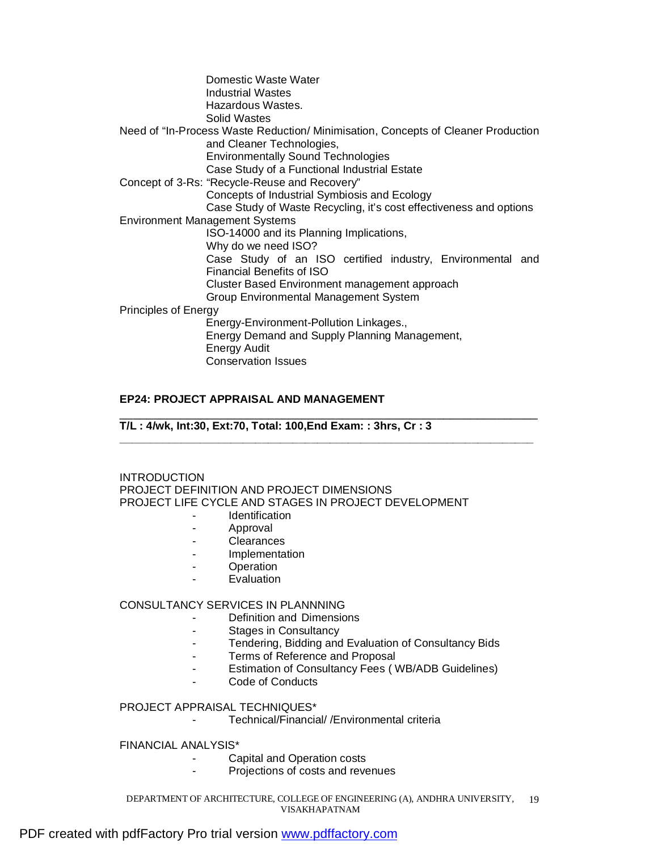|                             | Domestic Waste Water<br><b>Industrial Wastes</b><br>Hazardous Wastes.<br>Solid Wastes |
|-----------------------------|---------------------------------------------------------------------------------------|
|                             | Need of "In-Process Waste Reduction/ Minimisation, Concepts of Cleaner Production     |
|                             | and Cleaner Technologies,                                                             |
|                             | <b>Environmentally Sound Technologies</b>                                             |
|                             | Case Study of a Functional Industrial Estate                                          |
|                             | Concept of 3-Rs: "Recycle-Reuse and Recovery"                                         |
|                             | Concepts of Industrial Symbiosis and Ecology                                          |
|                             | Case Study of Waste Recycling, it's cost effectiveness and options                    |
|                             | <b>Environment Management Systems</b>                                                 |
|                             | ISO-14000 and its Planning Implications,                                              |
|                             | Why do we need ISO?                                                                   |
|                             | Case Study of an ISO certified industry, Environmental and                            |
|                             | Financial Benefits of ISO                                                             |
|                             | Cluster Based Environment management approach                                         |
|                             | Group Environmental Management System                                                 |
| <b>Principles of Energy</b> |                                                                                       |
|                             | Energy-Environment-Pollution Linkages.,                                               |
|                             | Energy Demand and Supply Planning Management,                                         |
|                             | Energy Audit                                                                          |
|                             | <b>Conservation Issues</b>                                                            |

## **EP24: PROJECT APPRAISAL AND MANAGEMENT**

\_\_\_\_\_\_\_\_\_\_\_\_\_\_\_\_\_\_\_\_\_\_\_\_\_\_\_\_\_\_\_\_\_\_\_\_\_\_\_\_\_\_\_\_\_\_\_\_\_\_\_\_\_\_\_\_\_\_\_\_\_\_ **T/L : 4/wk, Int:30, Ext:70, Total: 100,End Exam: : 3hrs, Cr : 3** 

INTRODUCTION PROJECT DEFINITION AND PROJECT DIMENSIONS PROJECT LIFE CYCLE AND STAGES IN PROJECT DEVELOPMENT

**\_\_\_\_\_\_\_\_\_\_\_\_\_\_\_\_\_\_\_\_\_\_\_\_\_\_\_\_\_\_\_\_\_\_\_\_\_\_\_\_\_\_\_\_\_\_\_\_\_\_\_\_\_\_\_\_\_\_\_\_\_\_\_\_\_\_\_**

- **Identification**
- Approval
- Clearances
- Implementation
- Operation
- **Evaluation**

## CONSULTANCY SERVICES IN PLANNNING

- Definition and Dimensions
	- Stages in Consultancy
- Tendering, Bidding and Evaluation of Consultancy Bids
- Terms of Reference and Proposal
- Estimation of Consultancy Fees ( WB/ADB Guidelines)
- Code of Conducts

#### PROJECT APPRAISAL TECHNIQUES\*

Technical/Financial/ /Environmental criteria

## FINANCIAL ANALYSIS\*

- Capital and Operation costs
	- Projections of costs and revenues

DEPARTMENT OF ARCHITECTURE, COLLEGE OF ENGINEERING (A), ANDHRA UNIVERSITY, 19 VISAKHAPATNAM

## PDF created with pdfFactory Pro trial version [www.pdffactory.com](http://www.pdffactory.com)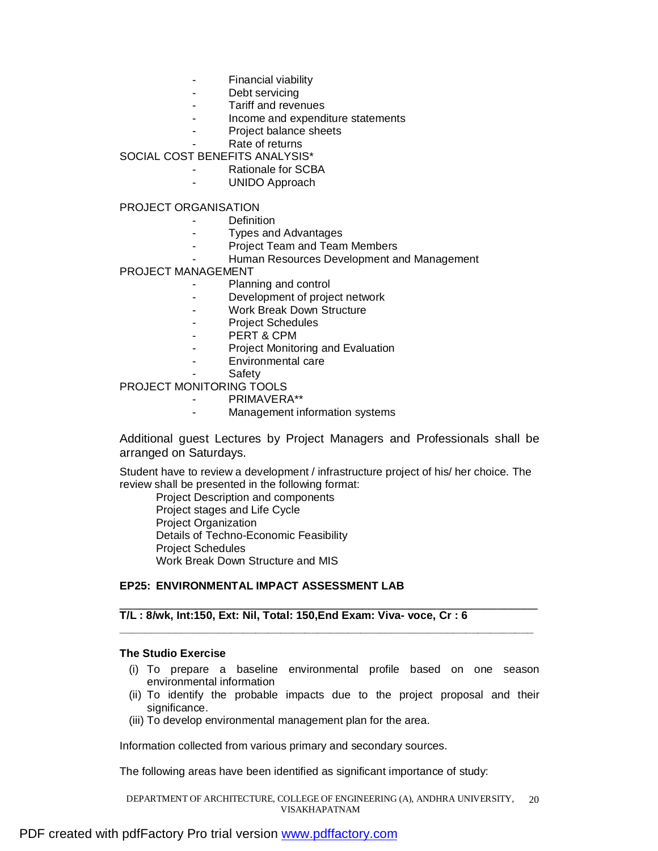- **Financial viability**
- Debt servicing
- Tariff and revenues
- Income and expenditure statements
- Project balance sheets
	- Rate of returns

SOCIAL COST BENEFITS ANALYSIS\*

- Rationale for SCBA
	- UNIDO Approach

PROJECT ORGANISATION

- Definition
- Types and Advantages
- Project Team and Team Members
- Human Resources Development and Management

PROJECT MANAGEMENT

- Planning and control
- Development of project network
- Work Break Down Structure
- Project Schedules
- PERT & CPM
- Project Monitoring and Evaluation
- Environmental care
- **Safety**

PROJECT MONITORING TOOLS

- PRIMAVERA\*\*
- Management information systems

Additional guest Lectures by Project Managers and Professionals shall be arranged on Saturdays.

Student have to review a development / infrastructure project of his/ her choice. The review shall be presented in the following format:

Project Description and components Project stages and Life Cycle Project Organization Details of Techno-Economic Feasibility Project Schedules Work Break Down Structure and MIS

## **EP25: ENVIRONMENTAL IMPACT ASSESSMENT LAB**

## **T/L : 8/wk, Int:150, Ext: Nil, Total: 150,End Exam: Viva- voce, Cr : 6**

#### **The Studio Exercise**

(i) To prepare a baseline environmental profile based on one season environmental information

\_\_\_\_\_\_\_\_\_\_\_\_\_\_\_\_\_\_\_\_\_\_\_\_\_\_\_\_\_\_\_\_\_\_\_\_\_\_\_\_\_\_\_\_\_\_\_\_\_\_\_\_\_\_\_\_\_\_\_\_\_\_

**\_\_\_\_\_\_\_\_\_\_\_\_\_\_\_\_\_\_\_\_\_\_\_\_\_\_\_\_\_\_\_\_\_\_\_\_\_\_\_\_\_\_\_\_\_\_\_\_\_\_\_\_\_\_\_\_\_\_\_\_\_\_\_\_\_\_\_**

- (ii) To identify the probable impacts due to the project proposal and their significance.
- (iii) To develop environmental management plan for the area.

Information collected from various primary and secondary sources.

The following areas have been identified as significant importance of study:

DEPARTMENT OF ARCHITECTURE, COLLEGE OF ENGINEERING (A), ANDHRA UNIVERSITY, VISAKHAPATNAM 20

## PDF created with pdfFactory Pro trial version [www.pdffactory.com](http://www.pdffactory.com)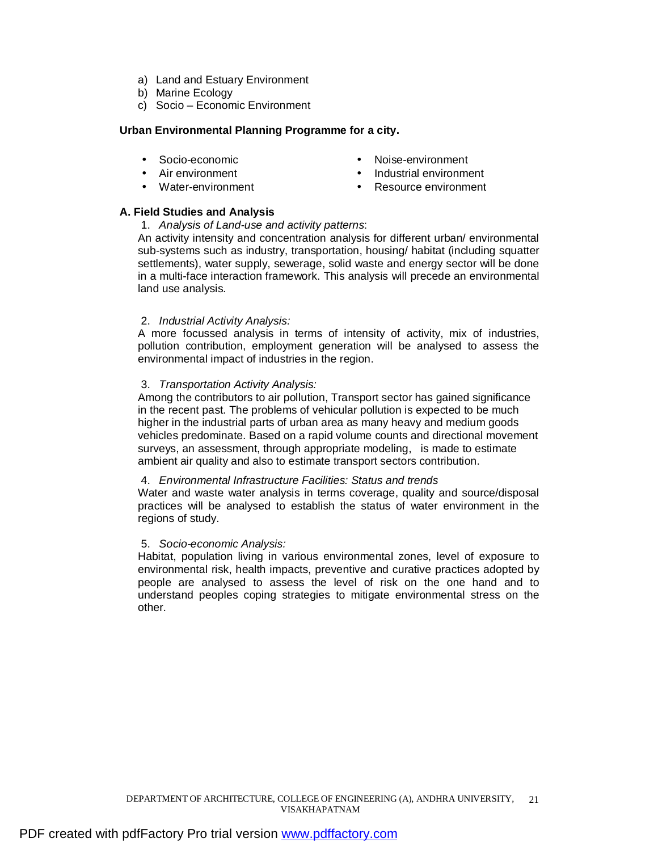- a) Land and Estuary Environment
- b) Marine Ecology
- c) Socio Economic Environment

## **Urban Environmental Planning Programme for a city.**

- Socio-economic **•** Noise-environment
- 
- 
- Air environment Industrial environment
- Water-environment Resource environment

## **A. Field Studies and Analysis**

1. *Analysis of Land-use and activity patterns*:

An activity intensity and concentration analysis for different urban/ environmental sub-systems such as industry, transportation, housing/ habitat (including squatter settlements), water supply, sewerage, solid waste and energy sector will be done in a multi-face interaction framework. This analysis will precede an environmental land use analysis.

#### 2. *Industrial Activity Analysis:*

A more focussed analysis in terms of intensity of activity, mix of industries, pollution contribution, employment generation will be analysed to assess the environmental impact of industries in the region.

#### 3. *Transportation Activity Analysis:*

Among the contributors to air pollution, Transport sector has gained significance in the recent past. The problems of vehicular pollution is expected to be much higher in the industrial parts of urban area as many heavy and medium goods vehicles predominate. Based on a rapid volume counts and directional movement surveys, an assessment, through appropriate modeling, is made to estimate ambient air quality and also to estimate transport sectors contribution.

#### 4. *Environmental Infrastructure Facilities: Status and trends*

Water and waste water analysis in terms coverage, quality and source/disposal practices will be analysed to establish the status of water environment in the regions of study.

#### 5. *Socio-economic Analysis:*

Habitat, population living in various environmental zones, level of exposure to environmental risk, health impacts, preventive and curative practices adopted by people are analysed to assess the level of risk on the one hand and to understand peoples coping strategies to mitigate environmental stress on the other.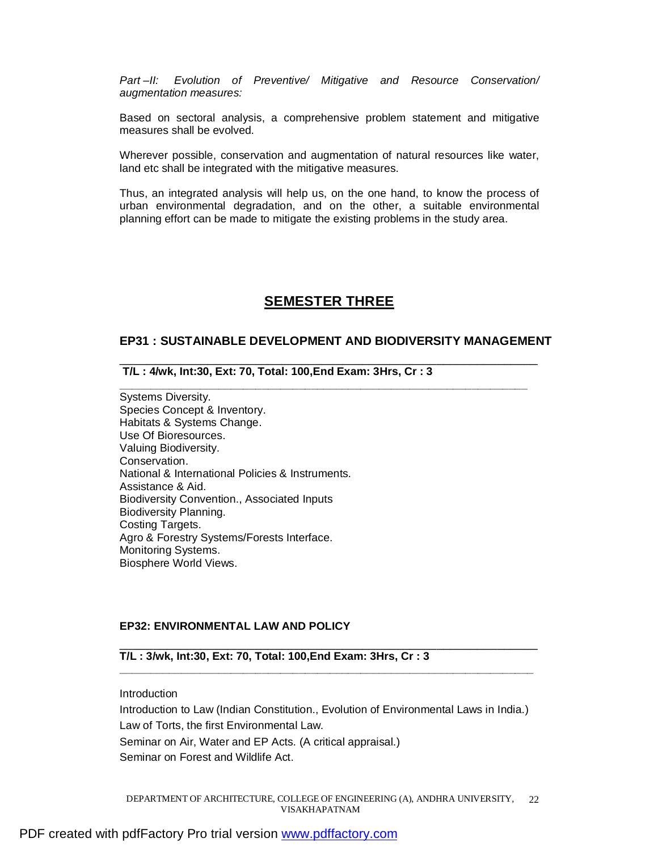*Part –II: Evolution of Preventive/ Mitigative and Resource Conservation/ augmentation measures:* 

Based on sectoral analysis, a comprehensive problem statement and mitigative measures shall be evolved.

Wherever possible, conservation and augmentation of natural resources like water, land etc shall be integrated with the mitigative measures.

Thus, an integrated analysis will help us, on the one hand, to know the process of urban environmental degradation, and on the other, a suitable environmental planning effort can be made to mitigate the existing problems in the study area.

# **SEMESTER THREE**

#### **EP31 : SUSTAINABLE DEVELOPMENT AND BIODIVERSITY MANAGEMENT**

\_\_\_\_\_\_\_\_\_\_\_\_\_\_\_\_\_\_\_\_\_\_\_\_\_\_\_\_\_\_\_\_\_\_\_\_\_\_\_\_\_\_\_\_\_\_\_\_\_\_\_\_\_\_\_\_\_\_\_\_\_\_

**\_\_\_\_\_\_\_\_\_\_\_\_\_\_\_\_\_\_\_\_\_\_\_\_\_\_\_\_\_\_\_\_\_\_\_\_\_\_\_\_\_\_\_\_\_\_\_\_\_\_\_\_\_\_\_\_\_\_\_\_\_\_\_\_\_\_** 

**T/L : 4/wk, Int:30, Ext: 70, Total: 100,End Exam: 3Hrs, Cr : 3** 

Systems Diversity. Species Concept & Inventory. Habitats & Systems Change. Use Of Bioresources. Valuing Biodiversity. Conservation. National & International Policies & Instruments. Assistance & Aid. Biodiversity Convention., Associated Inputs Biodiversity Planning. Costing Targets. Agro & Forestry Systems/Forests Interface. Monitoring Systems. Biosphere World Views.

## **EP32: ENVIRONMENTAL LAW AND POLICY**

#### **T/L : 3/wk, Int:30, Ext: 70, Total: 100,End Exam: 3Hrs, Cr : 3**

#### Introduction

Introduction to Law (Indian Constitution., Evolution of Environmental Laws in India.) Law of Torts, the first Environmental Law. Seminar on Air, Water and EP Acts. (A critical appraisal.) Seminar on Forest and Wildlife Act.

\_\_\_\_\_\_\_\_\_\_\_\_\_\_\_\_\_\_\_\_\_\_\_\_\_\_\_\_\_\_\_\_\_\_\_\_\_\_\_\_\_\_\_\_\_\_\_\_\_\_\_\_\_\_\_\_\_\_\_\_\_\_

**\_\_\_\_\_\_\_\_\_\_\_\_\_\_\_\_\_\_\_\_\_\_\_\_\_\_\_\_\_\_\_\_\_\_\_\_\_\_\_\_\_\_\_\_\_\_\_\_\_\_\_\_\_\_\_\_\_\_\_\_\_\_\_\_\_\_\_**

DEPARTMENT OF ARCHITECTURE, COLLEGE OF ENGINEERING (A), ANDHRA UNIVERSITY, 22 VISAKHAPATNAM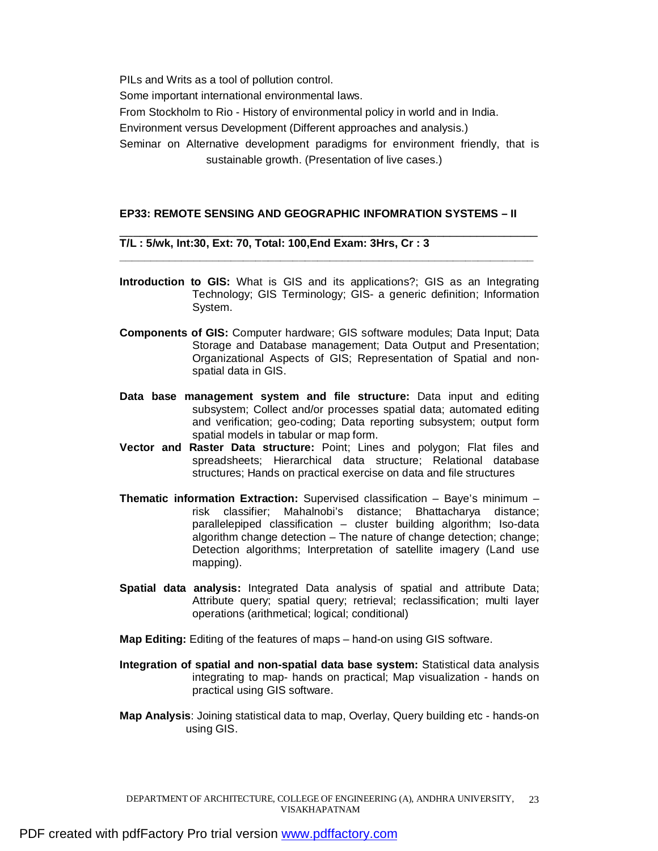PILs and Writs as a tool of pollution control. Some important international environmental laws. From Stockholm to Rio - History of environmental policy in world and in India. Environment versus Development (Different approaches and analysis.) Seminar on Alternative development paradigms for environment friendly, that is sustainable growth. (Presentation of live cases.)

#### **EP33: REMOTE SENSING AND GEOGRAPHIC INFOMRATION SYSTEMS – II**

#### **T/L : 5/wk, Int:30, Ext: 70, Total: 100,End Exam: 3Hrs, Cr : 3**

**Introduction to GIS:** What is GIS and its applications?; GIS as an Integrating Technology; GIS Terminology; GIS- a generic definition; Information System.

\_\_\_\_\_\_\_\_\_\_\_\_\_\_\_\_\_\_\_\_\_\_\_\_\_\_\_\_\_\_\_\_\_\_\_\_\_\_\_\_\_\_\_\_\_\_\_\_\_\_\_\_\_\_\_\_\_\_\_\_\_\_

**\_\_\_\_\_\_\_\_\_\_\_\_\_\_\_\_\_\_\_\_\_\_\_\_\_\_\_\_\_\_\_\_\_\_\_\_\_\_\_\_\_\_\_\_\_\_\_\_\_\_\_\_\_\_\_\_\_\_\_\_\_\_\_\_\_\_\_** 

- **Components of GIS:** Computer hardware; GIS software modules; Data Input; Data Storage and Database management; Data Output and Presentation; Organizational Aspects of GIS; Representation of Spatial and nonspatial data in GIS.
- **Data base management system and file structure:** Data input and editing subsystem; Collect and/or processes spatial data; automated editing and verification; geo-coding; Data reporting subsystem; output form spatial models in tabular or map form.
- **Vector and Raster Data structure:** Point; Lines and polygon; Flat files and spreadsheets; Hierarchical data structure; Relational database structures; Hands on practical exercise on data and file structures
- **Thematic information Extraction:** Supervised classification Baye's minimum risk classifier; Mahalnobi's distance; Bhattacharya distance; parallelepiped classification – cluster building algorithm; Iso-data algorithm change detection – The nature of change detection; change; Detection algorithms; Interpretation of satellite imagery (Land use mapping).
- **Spatial data analysis:** Integrated Data analysis of spatial and attribute Data; Attribute query; spatial query; retrieval; reclassification; multi layer operations (arithmetical; logical; conditional)
- **Map Editing:** Editing of the features of maps hand-on using GIS software.
- **Integration of spatial and non-spatial data base system:** Statistical data analysis integrating to map- hands on practical; Map visualization - hands on practical using GIS software.
- **Map Analysis**: Joining statistical data to map, Overlay, Query building etc hands-on using GIS.

DEPARTMENT OF ARCHITECTURE, COLLEGE OF ENGINEERING (A), ANDHRA UNIVERSITY, 23 VISAKHAPATNAM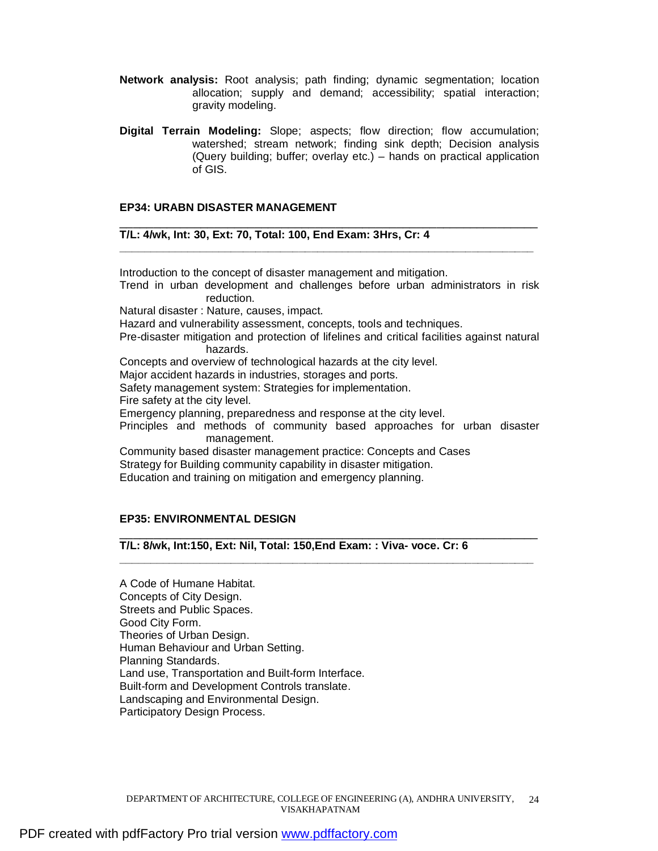- **Network analysis:** Root analysis; path finding; dynamic segmentation; location allocation; supply and demand; accessibility; spatial interaction; gravity modeling.
- **Digital Terrain Modeling:** Slope; aspects; flow direction; flow accumulation; watershed; stream network; finding sink depth; Decision analysis (Query building; buffer; overlay etc.) – hands on practical application of GIS.

#### **EP34: URABN DISASTER MANAGEMENT**

#### **T/L: 4/wk, Int: 30, Ext: 70, Total: 100, End Exam: 3Hrs, Cr: 4**

Introduction to the concept of disaster management and mitigation.

Trend in urban development and challenges before urban administrators in risk reduction.

\_\_\_\_\_\_\_\_\_\_\_\_\_\_\_\_\_\_\_\_\_\_\_\_\_\_\_\_\_\_\_\_\_\_\_\_\_\_\_\_\_\_\_\_\_\_\_\_\_\_\_\_\_\_\_\_\_\_\_\_\_\_

**\_\_\_\_\_\_\_\_\_\_\_\_\_\_\_\_\_\_\_\_\_\_\_\_\_\_\_\_\_\_\_\_\_\_\_\_\_\_\_\_\_\_\_\_\_\_\_\_\_\_\_\_\_\_\_\_\_\_\_\_\_\_\_\_\_\_\_** 

Natural disaster : Nature, causes, impact.

Hazard and vulnerability assessment, concepts, tools and techniques.

Pre-disaster mitigation and protection of lifelines and critical facilities against natural hazards.

Concepts and overview of technological hazards at the city level.

Major accident hazards in industries, storages and ports.

Safety management system: Strategies for implementation.

Fire safety at the city level.

Emergency planning, preparedness and response at the city level.

Principles and methods of community based approaches for urban disaster management.

**\_\_\_\_\_\_\_\_\_\_\_\_\_\_\_\_\_\_\_\_\_\_\_\_\_\_\_\_\_\_\_\_\_\_\_\_\_\_\_\_\_\_\_\_\_\_\_\_\_\_\_\_\_\_\_\_\_\_\_\_\_\_\_\_\_\_\_** 

Community based disaster management practice: Concepts and Cases Strategy for Building community capability in disaster mitigation. Education and training on mitigation and emergency planning.

#### **EP35: ENVIRONMENTAL DESIGN**

\_\_\_\_\_\_\_\_\_\_\_\_\_\_\_\_\_\_\_\_\_\_\_\_\_\_\_\_\_\_\_\_\_\_\_\_\_\_\_\_\_\_\_\_\_\_\_\_\_\_\_\_\_\_\_\_\_\_\_\_\_\_ **T/L: 8/wk, Int:150, Ext: Nil, Total: 150,End Exam: : Viva- voce. Cr: 6** 

A Code of Humane Habitat. Concepts of City Design. Streets and Public Spaces. Good City Form. Theories of Urban Design. Human Behaviour and Urban Setting. Planning Standards. Land use, Transportation and Built-form Interface. Built-form and Development Controls translate. Landscaping and Environmental Design. Participatory Design Process.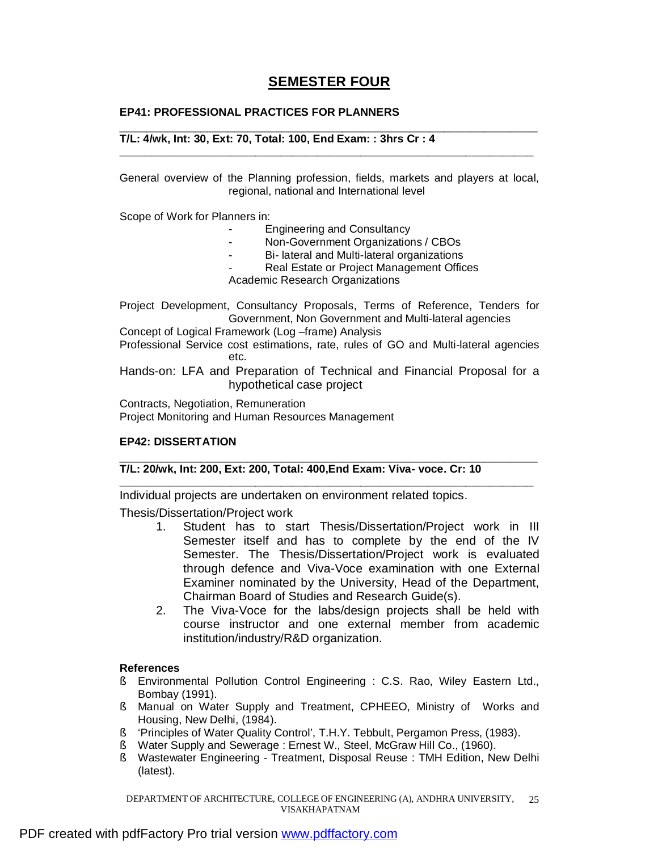# **SEMESTER FOUR**

## **EP41: PROFESSIONAL PRACTICES FOR PLANNERS**

#### \_\_\_\_\_\_\_\_\_\_\_\_\_\_\_\_\_\_\_\_\_\_\_\_\_\_\_\_\_\_\_\_\_\_\_\_\_\_\_\_\_\_\_\_\_\_\_\_\_\_\_\_\_\_\_\_\_\_\_\_\_\_ **T/L: 4/wk, Int: 30, Ext: 70, Total: 100, End Exam: : 3hrs Cr : 4**

General overview of the Planning profession, fields, markets and players at local, regional, national and International level

**\_\_\_\_\_\_\_\_\_\_\_\_\_\_\_\_\_\_\_\_\_\_\_\_\_\_\_\_\_\_\_\_\_\_\_\_\_\_\_\_\_\_\_\_\_\_\_\_\_\_\_\_\_\_\_\_\_\_\_\_\_\_\_\_\_\_\_**

Scope of Work for Planners in:

- Engineering and Consultancy
- Non-Government Organizations / CBOs
- Bi- lateral and Multi-lateral organizations
- Real Estate or Project Management Offices

Academic Research Organizations

Project Development, Consultancy Proposals, Terms of Reference, Tenders for Government, Non Government and Multi-lateral agencies

Concept of Logical Framework (Log –frame) Analysis

Professional Service cost estimations, rate, rules of GO and Multi-lateral agencies etc.

Hands-on: LFA and Preparation of Technical and Financial Proposal for a hypothetical case project

\_\_\_\_\_\_\_\_\_\_\_\_\_\_\_\_\_\_\_\_\_\_\_\_\_\_\_\_\_\_\_\_\_\_\_\_\_\_\_\_\_\_\_\_\_\_\_\_\_\_\_\_\_\_\_\_\_\_\_\_\_\_

**\_\_\_\_\_\_\_\_\_\_\_\_\_\_\_\_\_\_\_\_\_\_\_\_\_\_\_\_\_\_\_\_\_\_\_\_\_\_\_\_\_\_\_\_\_\_\_\_\_\_\_\_\_\_\_\_\_\_\_\_\_\_\_\_\_\_\_** 

Contracts, Negotiation, Remuneration Project Monitoring and Human Resources Management

## **EP42: DISSERTATION**

## **T/L: 20/wk, Int: 200, Ext: 200, Total: 400,End Exam: Viva- voce. Cr: 10**

Individual projects are undertaken on environment related topics.

Thesis/Dissertation/Project work

- 1. Student has to start Thesis/Dissertation/Project work in III Semester itself and has to complete by the end of the IV Semester. The Thesis/Dissertation/Project work is evaluated through defence and Viva-Voce examination with one External Examiner nominated by the University, Head of the Department, Chairman Board of Studies and Research Guide(s).
- 2. The Viva-Voce for the labs/design projects shall be held with course instructor and one external member from academic institution/industry/R&D organization.

## **References**

- § Environmental Pollution Control Engineering : C.S. Rao, Wiley Eastern Ltd., Bombay (1991).
- § Manual on Water Supply and Treatment, CPHEEO, Ministry of Works and Housing, New Delhi, (1984).
- § 'Principles of Water Quality Control', T.H.Y. Tebbult, Pergamon Press, (1983).
- § Water Supply and Sewerage : Ernest W., Steel, McGraw Hill Co., (1960).
- § Wastewater Engineering Treatment, Disposal Reuse : TMH Edition, New Delhi (latest).

DEPARTMENT OF ARCHITECTURE, COLLEGE OF ENGINEERING (A), ANDHRA UNIVERSITY, VISAKHAPATNAM 25